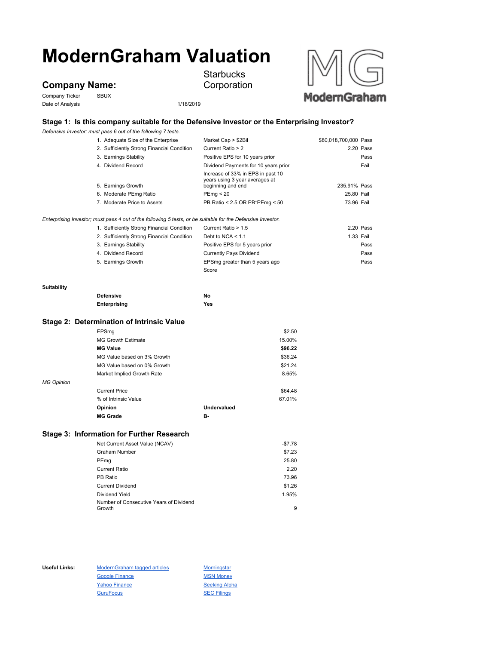# **ModernGraham Valuation**

## **Company Name:**

Company Ticker SBUX Date of Analysis 1/18/2019



**Starbucks** Corporation



### **Stage 1: Is this company suitable for the Defensive Investor or the Enterprising Investor?**

*Defensive Investor; must pass 6 out of the following 7 tests.*

|             | 1. Adequate Size of the Enterprise                                                                          | Market Cap > \$2Bil                                 | \$80,018,700,000 Pass |           |
|-------------|-------------------------------------------------------------------------------------------------------------|-----------------------------------------------------|-----------------------|-----------|
|             | 2. Sufficiently Strong Financial Condition                                                                  | Current Ratio > 2                                   |                       | 2.20 Pass |
|             | 3. Earnings Stability                                                                                       | Positive EPS for 10 years prior                     |                       | Pass      |
|             | 4. Dividend Record                                                                                          | Dividend Payments for 10 years prior                |                       | Fail      |
|             |                                                                                                             | Increase of 33% in EPS in past 10                   |                       |           |
|             | 5. Earnings Growth                                                                                          | years using 3 year averages at<br>beginning and end | 235.91% Pass          |           |
|             | 6. Moderate PEmg Ratio                                                                                      | PEmq < 20                                           | 25.80 Fail            |           |
|             | 7. Moderate Price to Assets                                                                                 | PB Ratio < 2.5 OR PB*PEmg < 50                      | 73.96 Fail            |           |
|             |                                                                                                             |                                                     |                       |           |
|             | Enterprising Investor; must pass 4 out of the following 5 tests, or be suitable for the Defensive Investor. |                                                     |                       |           |
|             | 1. Sufficiently Strong Financial Condition                                                                  | Current Ratio > 1.5                                 |                       | 2.20 Pass |
|             | 2. Sufficiently Strong Financial Condition                                                                  | Debt to NCA $\leq 1.1$                              |                       | 1.33 Fail |
|             | 3. Earnings Stability                                                                                       | Positive EPS for 5 years prior                      |                       | Pass      |
|             | 4. Dividend Record                                                                                          | <b>Currently Pays Dividend</b>                      |                       | Pass      |
|             | 5. Earnings Growth                                                                                          | EPSmg greater than 5 years ago                      |                       | Pass      |
|             |                                                                                                             | Score                                               |                       |           |
| Suitability |                                                                                                             |                                                     |                       |           |
|             | <b>Defensive</b>                                                                                            | No                                                  |                       |           |
|             | Enterprising                                                                                                | Yes                                                 |                       |           |
|             | Stage 2: Determination of Intrinsic Value                                                                   |                                                     |                       |           |
|             | EPSmg                                                                                                       | \$2.50                                              |                       |           |
|             | <b>MG Growth Estimate</b>                                                                                   | 15.00%                                              |                       |           |
|             | <b>MG Value</b>                                                                                             | \$96.22                                             |                       |           |
|             | MG Value based on 3% Growth                                                                                 | \$36.24                                             |                       |           |

MG Value based on 0% Growth \$21.24 Market Implied Growth Rate 8.65% *MG Opinion* Current Price \$64.48 % of Intrinsic Value 67.01% **Opinion Undervalued MG Grade B-**

#### **Stage 3: Information for Further Research**

| Net Current Asset Value (NCAV)          | -\$7.78 |
|-----------------------------------------|---------|
| <b>Graham Number</b>                    | \$7.23  |
| PEmg                                    | 25.80   |
| <b>Current Ratio</b>                    | 2.20    |
| PB Ratio                                | 73.96   |
| <b>Current Dividend</b>                 | \$1.26  |
| Dividend Yield                          | 1.95%   |
| Number of Consecutive Years of Dividend |         |
| Growth                                  | 9       |

Useful Links: ModernGraham tagged articles Morningstar Google Finance MSN Money Yahoo Finance Seeking Alpha GuruFocus SEC Filings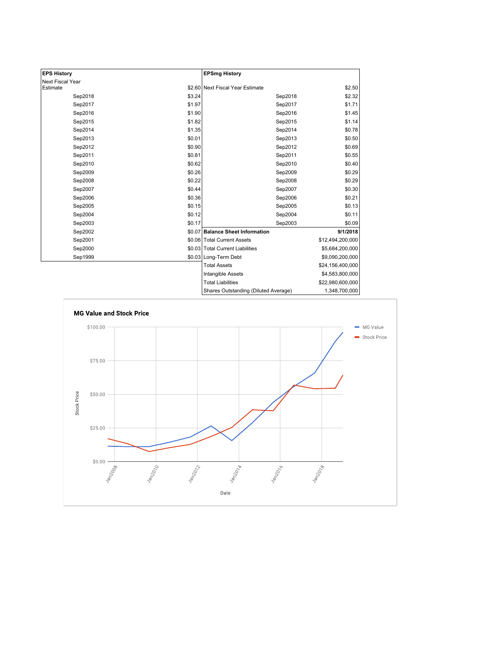| <b>EPS History</b> |        | <b>EPSmg History</b>                 |                  |
|--------------------|--------|--------------------------------------|------------------|
| Next Fiscal Year   |        |                                      |                  |
| Estimate           |        | \$2.60 Next Fiscal Year Estimate     | \$2.50           |
| Sep2018            | \$3.24 | Sep2018                              | \$2.32           |
| Sep2017            | \$1.97 | Sep2017                              | \$1.71           |
| Sep2016            | \$1.90 | Sep2016                              | \$1.45           |
| Sep2015            | \$1.82 | Sep2015                              | \$1.14           |
| Sep2014            | \$1.35 | Sep2014                              | \$0.78           |
| Sep2013            | \$0.01 | Sep2013                              | \$0.50           |
| Sep2012            | \$0.90 | Sep2012                              | \$0.69           |
| Sep2011            | \$0.81 | Sep2011                              | \$0.55           |
| Sep2010            | \$0.62 | Sep2010                              | \$0.40           |
| Sep2009            | \$0.26 | Sep2009                              | \$0.29           |
| Sep2008            | \$0.22 | Sep2008                              | \$0.29           |
| Sep2007            | \$0.44 | Sep2007                              | \$0.30           |
| Sep2006            | \$0.36 | Sep2006                              | \$0.21           |
| Sep2005            | \$0.15 | Sep2005                              | \$0.13           |
| Sep2004            | \$0.12 | Sep2004                              | \$0.11           |
| Sep2003            | \$0.17 | Sep2003                              | \$0.09           |
| Sep2002            | \$0.07 | <b>Balance Sheet Information</b>     | 9/1/2018         |
| Sep2001            |        | \$0.06 Total Current Assets          | \$12,494,200,000 |
| Sep2000            |        | \$0.03 Total Current Liabilities     | \$5,684,200,000  |
| Sep1999            |        | \$0.03 Long-Term Debt                | \$9,090,200,000  |
|                    |        | <b>Total Assets</b>                  | \$24,156,400,000 |
|                    |        | <b>Intangible Assets</b>             | \$4,583,800,000  |
|                    |        | <b>Total Liabilities</b>             | \$22,980,600,000 |
|                    |        | Shares Outstanding (Diluted Average) | 1,348,700,000    |